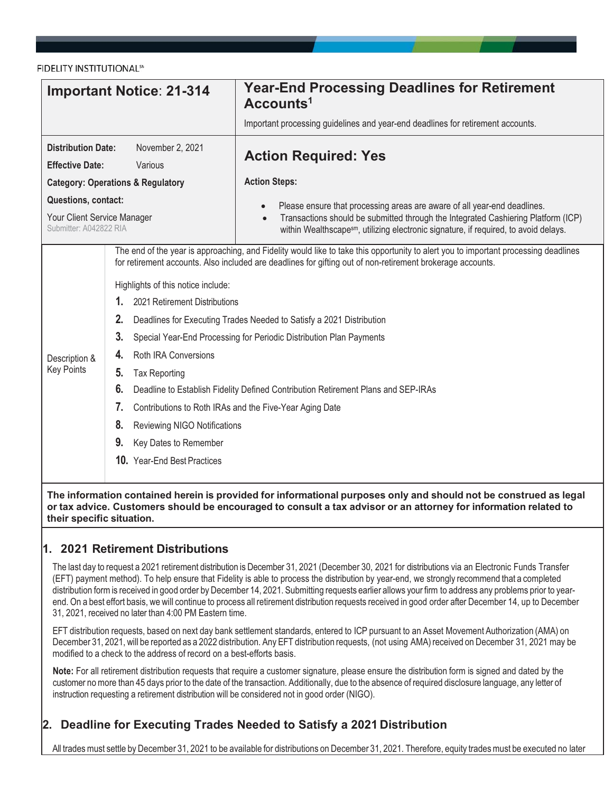FIDELITY INSTITUTIONAL<sup>SM</sup>

| <b>Important Notice: 21-314</b>                                                                                   |                                                                                                                                                                                                                                                                                                                                                                                                                                                                                                                                                                                                                                                                                                                                                                                                                                            | <b>Year-End Processing Deadlines for Retirement</b><br>Accounts <sup>1</sup>                                                                                                                                                                                                   |  |  |  |  |
|-------------------------------------------------------------------------------------------------------------------|--------------------------------------------------------------------------------------------------------------------------------------------------------------------------------------------------------------------------------------------------------------------------------------------------------------------------------------------------------------------------------------------------------------------------------------------------------------------------------------------------------------------------------------------------------------------------------------------------------------------------------------------------------------------------------------------------------------------------------------------------------------------------------------------------------------------------------------------|--------------------------------------------------------------------------------------------------------------------------------------------------------------------------------------------------------------------------------------------------------------------------------|--|--|--|--|
|                                                                                                                   |                                                                                                                                                                                                                                                                                                                                                                                                                                                                                                                                                                                                                                                                                                                                                                                                                                            | Important processing guidelines and year-end deadlines for retirement accounts.                                                                                                                                                                                                |  |  |  |  |
| <b>Distribution Date:</b><br>November 2, 2021<br><b>Effective Date:</b><br>Various                                |                                                                                                                                                                                                                                                                                                                                                                                                                                                                                                                                                                                                                                                                                                                                                                                                                                            | <b>Action Required: Yes</b>                                                                                                                                                                                                                                                    |  |  |  |  |
| <b>Category: Operations &amp; Regulatory</b>                                                                      |                                                                                                                                                                                                                                                                                                                                                                                                                                                                                                                                                                                                                                                                                                                                                                                                                                            | <b>Action Steps:</b>                                                                                                                                                                                                                                                           |  |  |  |  |
| Questions, contact:<br>Your Client Service Manager<br>Submitter: A042822 RIA                                      |                                                                                                                                                                                                                                                                                                                                                                                                                                                                                                                                                                                                                                                                                                                                                                                                                                            | Please ensure that processing areas are aware of all year-end deadlines.<br>$\bullet$<br>Transactions should be submitted through the Integrated Cashiering Platform (ICP)<br>$\bullet$<br>within Wealthscapesm, utilizing electronic signature, if required, to avoid delays. |  |  |  |  |
| Description &<br><b>Key Points</b>                                                                                | The end of the year is approaching, and Fidelity would like to take this opportunity to alert you to important processing deadlines<br>for retirement accounts. Also included are deadlines for gifting out of non-retirement brokerage accounts.<br>Highlights of this notice include:<br>2021 Retirement Distributions<br>1.<br>2.<br>Deadlines for Executing Trades Needed to Satisfy a 2021 Distribution<br>3.<br>Special Year-End Processing for Periodic Distribution Plan Payments<br>4.<br><b>Roth IRA Conversions</b><br>5.<br><b>Tax Reporting</b><br>6.<br>Deadline to Establish Fidelity Defined Contribution Retirement Plans and SEP-IRAs<br>7.<br>Contributions to Roth IRAs and the Five-Year Aging Date<br>8.<br><b>Reviewing NIGO Notifications</b><br>9.<br>Key Dates to Remember<br><b>10.</b> Year-End Best Practices |                                                                                                                                                                                                                                                                                |  |  |  |  |
| The information contained herein is provided for informational purposes only and should not be construed as legal |                                                                                                                                                                                                                                                                                                                                                                                                                                                                                                                                                                                                                                                                                                                                                                                                                                            |                                                                                                                                                                                                                                                                                |  |  |  |  |

# **1. 2021 Retirement Distributions**

**their specific situation.**

The last day to request a 2021 retirement distribution is December 31, 2021 (December 30, 2021 for distributions via an Electronic Funds Transfer (EFT) payment method). To help ensure that Fidelity is able to process the distribution by year-end, we strongly recommend that a completed distribution form is received in good order by December 14, 2021. Submitting requests earlier allows your firm to address any problems prior to yearend. On a best effort basis, we will continue to process all retirement distribution requests received in good order after December 14, up to December 31, 2021, received no later than 4:00 PM Eastern time.

**or tax advice. Customers should be encouraged to consult a tax advisor or an attorney for information related to** 

EFT distribution requests, based on next day bank settlement standards, entered to ICP pursuant to an Asset Movement Authorization (AMA) on December 31, 2021, will be reported as a 2022 distribution. Any EFT distribution requests, (not using AMA) received on December 31, 2021 may be modified to a check to the address of record on a best-efforts basis.

**Note:** For all retirement distribution requests that require a customer signature, please ensure the distribution form is signed and dated by the customer no more than 45 days prior to the date of the transaction. Additionally, due to the absence of required disclosure language, any letter of instruction requesting a retirement distribution will be considered not in good order (NIGO).

# **2. Deadline for Executing Trades Needed to Satisfy a 2021 Distribution**

All trades must settle by December 31, 2021 to be available for distributions on December 31, 2021. Therefore, equity trades must be executed no later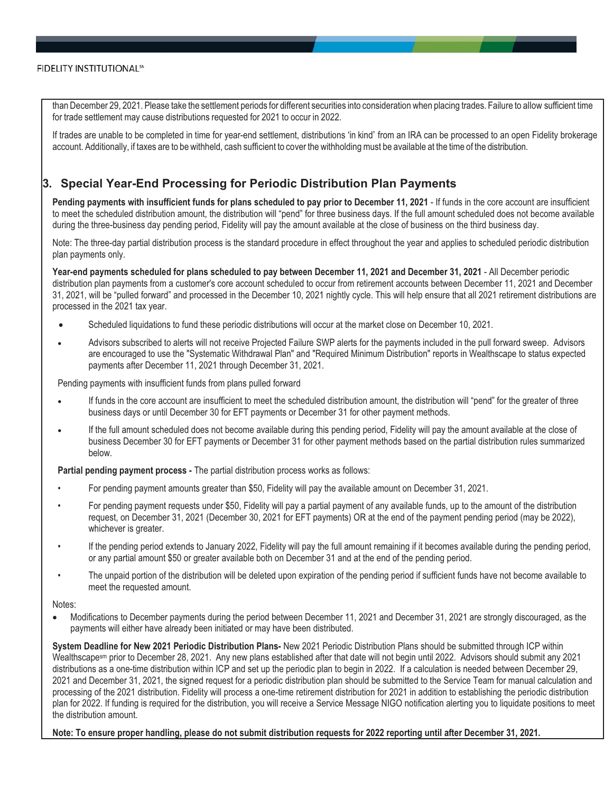than December 29, 2021. Please take the settlement periods for different securities into consideration when placing trades. Failure to allow sufficient time for trade settlement may cause distributions requested for 2021 to occur in 2022.

If trades are unable to be completed in time for year-end settlement, distributions 'in kind' from an IRA can be processed to an open Fidelity brokerage account. Additionally, if taxes are to be withheld, cash sufficient to cover the withholding must be available at the time of the distribution.

## **3. Special Year-End Processing for Periodic Distribution Plan Payments**

**Pending payments with insufficient funds for plans scheduled to pay prior to December 11, 2021** - If funds in the core account are insufficient to meet the scheduled distribution amount, the distribution will "pend" for three business days. If the full amount scheduled does not become available during the three-business day pending period, Fidelity will pay the amount available at the close of business on the third business day.

Note: The three-day partial distribution process is the standard procedure in effect throughout the year and applies to scheduled periodic distribution plan payments only.

**Year-end payments scheduled for plans scheduled to pay between December 11, 2021 and December 31, 2021** - All December periodic distribution plan payments from a customer's core account scheduled to occur from retirement accounts between December 11, 2021 and December 31, 2021, will be "pulled forward" and processed in the December 10, 2021 nightly cycle. This will help ensure that all 2021 retirement distributions are processed in the 2021 tax year.

- -Scheduled liquidations to fund these periodic distributions will occur at the market close on December 10, 2021.
- - Advisors subscribed to alerts will not receive Projected Failure SWP alerts for the payments included in the pull forward sweep. Advisors are encouraged to use the "Systematic Withdrawal Plan" and "Required Minimum Distribution" reports in Wealthscape to status expected payments after December 11, 2021 through December 31, 2021.

Pending payments with insufficient funds from plans pulled forward

- - If funds in the core account are insufficient to meet the scheduled distribution amount, the distribution will "pend" for the greater of three business days or until December 30 for EFT payments or December 31 for other payment methods.
- - If the full amount scheduled does not become available during this pending period, Fidelity will pay the amount available at the close of business December 30 for EFT payments or December 31 for other payment methods based on the partial distribution rules summarized below.

**Partial pending payment process -** The partial distribution process works as follows:

- For pending payment amounts greater than \$50, Fidelity will pay the available amount on December 31, 2021.
- For pending payment requests under \$50, Fidelity will pay a partial payment of any available funds, up to the amount of the distribution request, on December 31, 2021 (December 30, 2021 for EFT payments) OR at the end of the payment pending period (may be 2022), whichever is greater.
- If the pending period extends to January 2022, Fidelity will pay the full amount remaining if it becomes available during the pending period, or any partial amount \$50 or greater available both on December 31 and at the end of the pending period.
- The unpaid portion of the distribution will be deleted upon expiration of the pending period if sufficient funds have not become available to meet the requested amount.

#### Notes:

- Modifications to December payments during the period between December 11, 2021 and December 31, 2021 are strongly discouraged, as the payments will either have already been initiated or may have been distributed.

**System Deadline for New 2021 Periodic Distribution Plans-** New 2021 Periodic Distribution Plans should be submitted through ICP within Wealthscape<sup>sm</sup> prior to December 28, 2021. Any new plans established after that date will not begin until 2022. Advisors should submit any 2021 distributions as a one-time distribution within ICP and set up the periodic plan to begin in 2022. If a calculation is needed between December 29, 2021 and December 31, 2021, the signed request for a periodic distribution plan should be submitted to the Service Team for manual calculation and processing of the 2021 distribution. Fidelity will process a one-time retirement distribution for 2021 in addition to establishing the periodic distribution plan for 2022. If funding is required for the distribution, you will receive a Service Message NIGO notification alerting you to liquidate positions to meet the distribution amount.

**Note: To ensure proper handling, please do not submit distribution requests for 2022 reporting until after December 31, 2021.**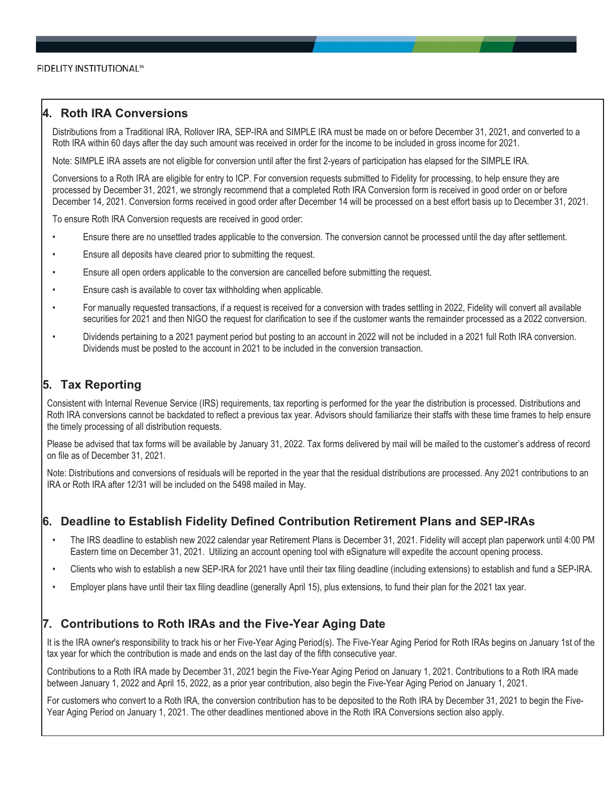## **4. Roth IRA Conversions**

Distributions from a Traditional IRA, Rollover IRA, SEP-IRA and SIMPLE IRA must be made on or before December 31, 2021, and converted to a Roth IRA within 60 days after the day such amount was received in order for the income to be included in gross income for 2021.

Note: SIMPLE IRA assets are not eligible for conversion until after the first 2-years of participation has elapsed for the SIMPLE IRA.

Conversions to a Roth IRA are eligible for entry to ICP. For conversion requests submitted to Fidelity for processing, to help ensure they are processed by December 31, 2021, we strongly recommend that a completed Roth IRA Conversion form is received in good order on or before December 14, 2021. Conversion forms received in good order after December 14 will be processed on a best effort basis up to December 31, 2021.

To ensure Roth IRA Conversion requests are received in good order:

- Ensure there are no unsettled trades applicable to the conversion. The conversion cannot be processed until the day after settlement.
- Ensure all deposits have cleared prior to submitting the request.
- Ensure all open orders applicable to the conversion are cancelled before submitting the request.
- Ensure cash is available to cover tax withholding when applicable.
- For manually requested transactions, if a request is received for a conversion with trades settling in 2022, Fidelity will convert all available securities for 2021 and then NIGO the request for clarification to see if the customer wants the remainder processed as a 2022 conversion.
- Dividends pertaining to a 2021 payment period but posting to an account in 2022 will not be included in a 2021 full Roth IRA conversion. Dividends must be posted to the account in 2021 to be included in the conversion transaction.

### **5. Tax Reporting**

Consistent with Internal Revenue Service (IRS) requirements, tax reporting is performed for the year the distribution is processed. Distributions and Roth IRA conversions cannot be backdated to reflect a previous tax year. Advisors should familiarize their staffs with these time frames to help ensure the timely processing of all distribution requests.

Please be advised that tax forms will be available by January 31, 2022. Tax forms delivered by mail will be mailed to the customer's address of record on file as of December 31, 2021.

Note: Distributions and conversions of residuals will be reported in the year that the residual distributions are processed. Any 2021 contributions to an IRA or Roth IRA after 12/31 will be included on the 5498 mailed in May.

## **6. Deadline to Establish Fidelity Defined Contribution Retirement Plans and SEP-IRAs**

- The IRS deadline to establish new 2022 calendar year Retirement Plans is December 31, 2021. Fidelity will accept plan paperwork until 4:00 PM Eastern time on December 31, 2021. Utilizing an account opening tool with eSignature will expedite the account opening process.
- Clients who wish to establish a new SEP-IRA for 2021 have until their tax filing deadline (including extensions) to establish and fund a SEP-IRA.
- Employer plans have until their tax filing deadline (generally April 15), plus extensions, to fund their plan for the 2021 tax year.

### **7. Contributions to Roth IRAs and the Five-Year Aging Date**

It is the IRA owner's responsibility to track his or her Five-Year Aging Period(s). The Five-Year Aging Period for Roth IRAs begins on January 1st of the tax year for which the contribution is made and ends on the last day of the fifth consecutive year.

Contributions to a Roth IRA made by December 31, 2021 begin the Five-Year Aging Period on January 1, 2021. Contributions to a Roth IRA made between January 1, 2022 and April 15, 2022, as a prior year contribution, also begin the Five-Year Aging Period on January 1, 2021.

For customers who convert to a Roth IRA, the conversion contribution has to be deposited to the Roth IRA by December 31, 2021 to begin the Five-Year Aging Period on January 1, 2021. The other deadlines mentioned above in the Roth IRA Conversions section also apply.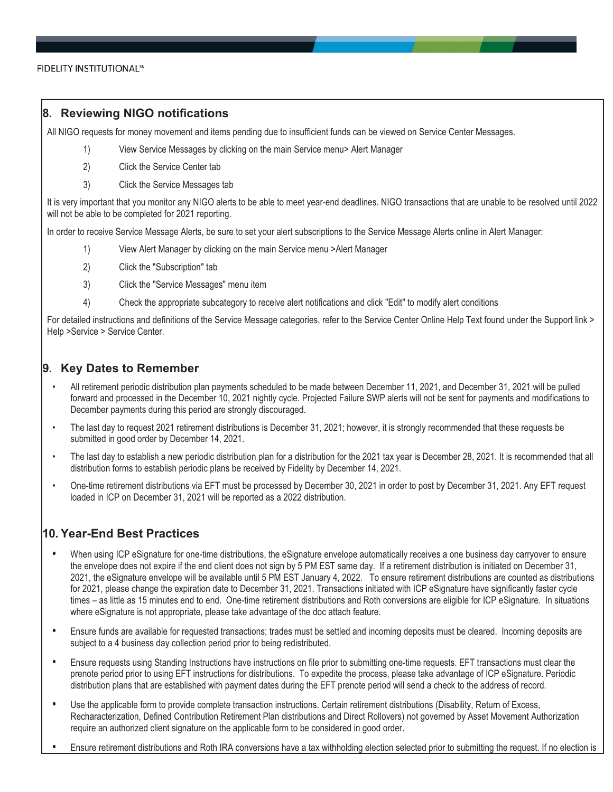### **8. Reviewing NIGO notifications**

All NIGO requests for money movement and items pending due to insufficient funds can be viewed on Service Center Messages.

- 1) View Service Messages by clicking on the main Service menu> Alert Manager
- 2) Click the Service Center tab
- 3) Click the Service Messages tab

It is very important that you monitor any NIGO alerts to be able to meet year-end deadlines. NIGO transactions that are unable to be resolved until 2022 will not be able to be completed for 2021 reporting.

In order to receive Service Message Alerts, be sure to set your alert subscriptions to the Service Message Alerts online in Alert Manager:

- 1) View Alert Manager by clicking on the main Service menu >Alert Manager
- 2) Click the "Subscription" tab
- 3) Click the "Service Messages" menu item
- 4) Check the appropriate subcategory to receive alert notifications and click "Edit" to modify alert conditions

For detailed instructions and definitions of the Service Message categories, refer to the Service Center Online Help Text found under the Support link > Help >Service > Service Center.

## **9. Key Dates to Remember**

- All retirement periodic distribution plan payments scheduled to be made between December 11, 2021, and December 31, 2021 will be pulled forward and processed in the December 10, 2021 nightly cycle. Projected Failure SWP alerts will not be sent for payments and modifications to December payments during this period are strongly discouraged.
- The last day to request 2021 retirement distributions is December 31, 2021; however, it is strongly recommended that these requests be submitted in good order by December 14, 2021.
- The last day to establish a new periodic distribution plan for a distribution for the 2021 tax year is December 28, 2021. It is recommended that all distribution forms to establish periodic plans be received by Fidelity by December 14, 2021.
- One-time retirement distributions via EFT must be processed by December 30, 2021 in order to post by December 31, 2021. Any EFT request loaded in ICP on December 31, 2021 will be reported as a 2022 distribution.

## **10. Year-End Best Practices**

- **•** When using ICP eSignature for one-time distributions, the eSignature envelope automatically receives a one business day carryover to ensure the envelope does not expire if the end client does not sign by 5 PM EST same day. If a retirement distribution is initiated on December 31, 2021, the eSignature envelope will be available until 5 PM EST January 4, 2022. To ensure retirement distributions are counted as distributions for 2021, please change the expiration date to December 31, 2021. Transactions initiated with ICP eSignature have significantly faster cycle times – as little as 15 minutes end to end. One-time retirement distributions and Roth conversions are eligible for ICP eSignature. In situations where eSignature is not appropriate, please take advantage of the doc attach feature.
- **•** Ensure funds are available for requested transactions; trades must be settled and incoming deposits must be cleared. Incoming deposits are subject to a 4 business day collection period prior to being redistributed.
- **•** Ensure requests using Standing Instructions have instructions on file prior to submitting one-time requests. EFT transactions must clear the prenote period prior to using EFT instructions for distributions. To expedite the process, please take advantage of ICP eSignature. Periodic distribution plans that are established with payment dates during the EFT prenote period will send a check to the address of record.
- **•** Use the applicable form to provide complete transaction instructions. Certain retirement distributions (Disability, Return of Excess, Recharacterization, Defined Contribution Retirement Plan distributions and Direct Rollovers) not governed by Asset Movement Authorization require an authorized client signature on the applicable form to be considered in good order.
- **•** Ensure retirement distributions and Roth IRA conversions have a tax withholding election selected prior to submitting the request. If no election is